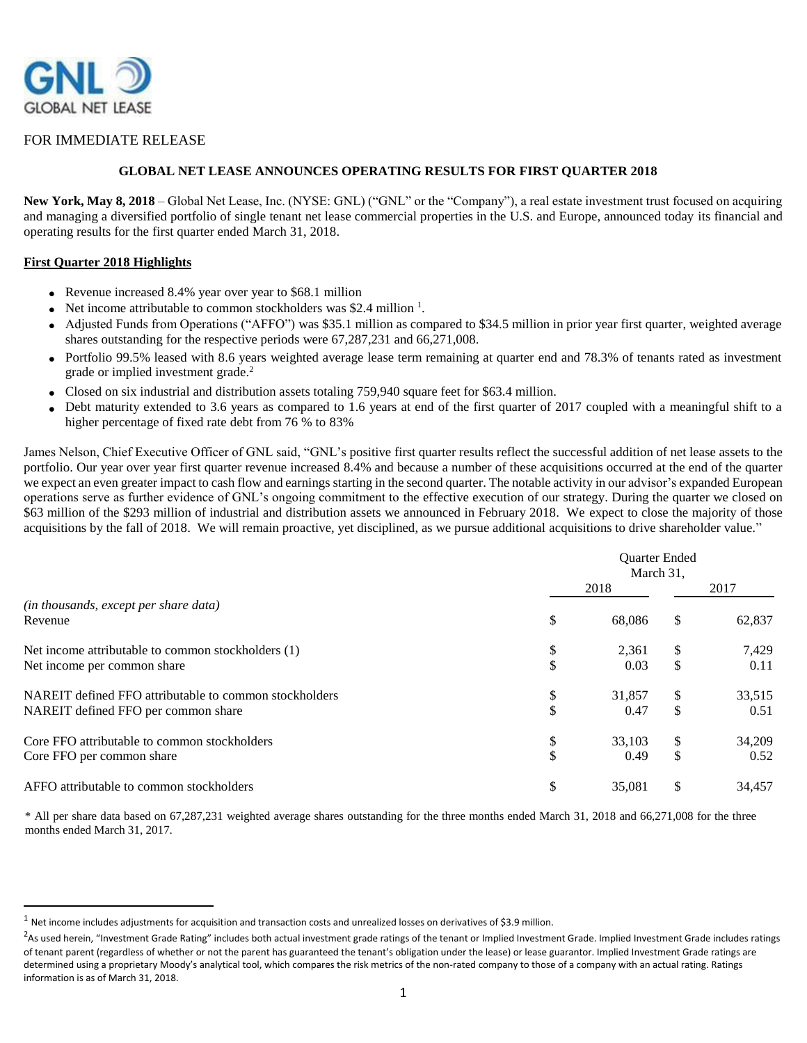

### FOR IMMEDIATE RELEASE

### **GLOBAL NET LEASE ANNOUNCES OPERATING RESULTS FOR FIRST QUARTER 2018**

**New York, May 8, 2018** – Global Net Lease, Inc. (NYSE: GNL) ("GNL" or the "Company"), a real estate investment trust focused on acquiring and managing a diversified portfolio of single tenant net lease commercial properties in the U.S. and Europe, announced today its financial and operating results for the first quarter ended March 31, 2018.

#### **First Quarter 2018 Highlights**

 $\overline{\phantom{a}}$ 

- Revenue increased 8.4% year over year to \$68.1 million
- Net income attributable to common stockholders was \$2.4 million  $<sup>1</sup>$ .</sup>
- Adjusted Funds from Operations ("AFFO") was \$35.1 million as compared to \$34.5 million in prior year first quarter, weighted average shares outstanding for the respective periods were 67,287,231 and 66,271,008.
- Portfolio 99.5% leased with 8.6 years weighted average lease term remaining at quarter end and 78.3% of tenants rated as investment grade or implied investment grade.<sup>2</sup>
- $\bullet$ Closed on six industrial and distribution assets totaling 759,940 square feet for \$63.4 million.
- $\bullet$ Debt maturity extended to 3.6 years as compared to 1.6 years at end of the first quarter of 2017 coupled with a meaningful shift to a higher percentage of fixed rate debt from 76 % to 83%

James Nelson, Chief Executive Officer of GNL said, "GNL's positive first quarter results reflect the successful addition of net lease assets to the portfolio. Our year over year first quarter revenue increased 8.4% and because a number of these acquisitions occurred at the end of the quarter we expect an even greater impact to cash flow and earnings starting in the second quarter. The notable activity in our advisor's expanded European operations serve as further evidence of GNL's ongoing commitment to the effective execution of our strategy. During the quarter we closed on \$63 million of the \$293 million of industrial and distribution assets we announced in February 2018. We expect to close the majority of those acquisitions by the fall of 2018. We will remain proactive, yet disciplined, as we pursue additional acquisitions to drive shareholder value."

|                                                        | Quarter Ended<br>March 31, |        |     |        |  |
|--------------------------------------------------------|----------------------------|--------|-----|--------|--|
|                                                        |                            | 2018   |     | 2017   |  |
| (in thousands, except per share data)                  |                            |        |     |        |  |
| Revenue                                                | \$                         | 68,086 | \$. | 62,837 |  |
| Net income attributable to common stockholders (1)     | \$                         | 2,361  | S   | 7,429  |  |
| Net income per common share                            | \$                         | 0.03   | \$  | 0.11   |  |
| NAREIT defined FFO attributable to common stockholders | \$                         | 31,857 | S   | 33,515 |  |
| NAREIT defined FFO per common share                    | \$                         | 0.47   | \$  | 0.51   |  |
| Core FFO attributable to common stockholders           | \$                         | 33.103 | S   | 34,209 |  |
| Core FFO per common share                              | \$                         | 0.49   | \$  | 0.52   |  |
| AFFO attributable to common stockholders               | \$                         | 35,081 | \$. | 34,457 |  |

\* All per share data based on 67,287,231 weighted average shares outstanding for the three months ended March 31, 2018 and 66,271,008 for the three months ended March 31, 2017.

 $1$  Net income includes adjustments for acquisition and transaction costs and unrealized losses on derivatives of \$3.9 million.

 $^2$ As used herein, "Investment Grade Rating" includes both actual investment grade ratings of the tenant or Implied Investment Grade. Implied Investment Grade includes ratings of tenant parent (regardless of whether or not the parent has guaranteed the tenant's obligation under the lease) or lease guarantor. Implied Investment Grade ratings are determined using a proprietary Moody's analytical tool, which compares the risk metrics of the non-rated company to those of a company with an actual rating. Ratings information is as of March 31, 2018.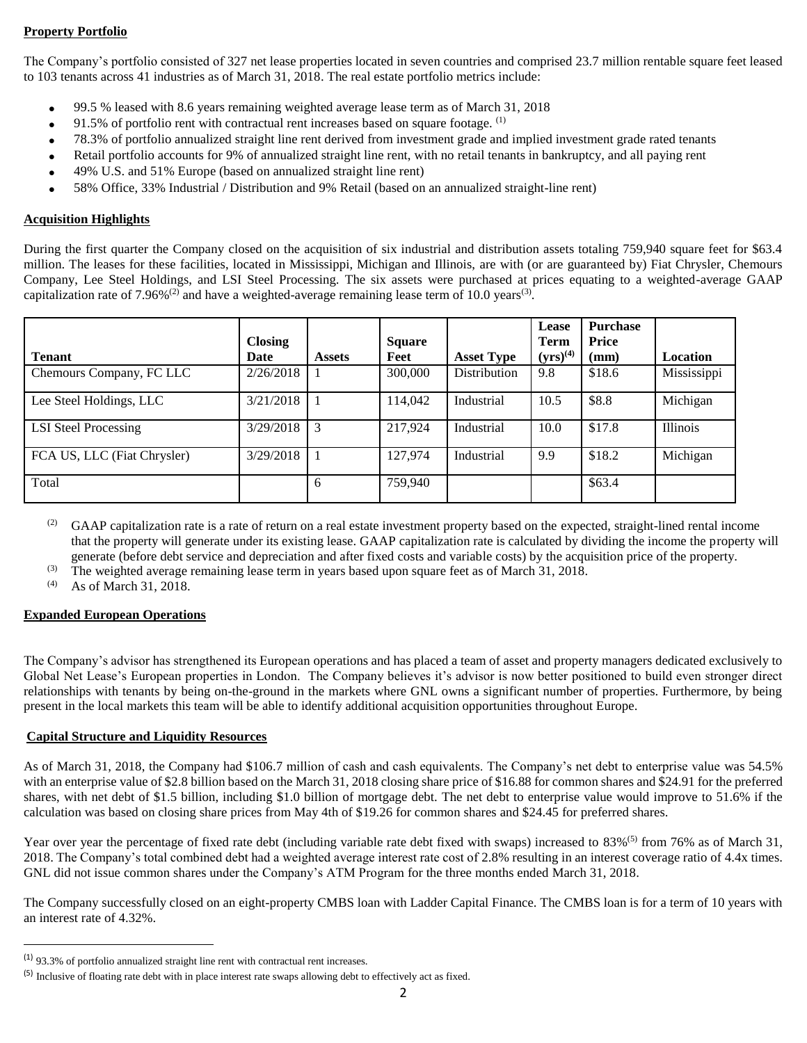## **Property Portfolio**

The Company's portfolio consisted of 327 net lease properties located in seven countries and comprised 23.7 million rentable square feet leased to 103 tenants across 41 industries as of March 31, 2018. The real estate portfolio metrics include:

- 99.5 % leased with 8.6 years remaining weighted average lease term as of March 31, 2018
- $\bullet$  91.5% of portfolio rent with contractual rent increases based on square footage. (1)
- 78.3% of portfolio annualized straight line rent derived from investment grade and implied investment grade rated tenants
- Retail portfolio accounts for 9% of annualized straight line rent, with no retail tenants in bankruptcy, and all paying rent
- 49% U.S. and 51% Europe (based on annualized straight line rent)
- 58% Office, 33% Industrial / Distribution and 9% Retail (based on an annualized straight-line rent)

### **Acquisition Highlights**

During the first quarter the Company closed on the acquisition of six industrial and distribution assets totaling 759,940 square feet for \$63.4 million. The leases for these facilities, located in Mississippi, Michigan and Illinois, are with (or are guaranteed by) Fiat Chrysler, Chemours Company, Lee Steel Holdings, and LSI Steel Processing. The six assets were purchased at prices equating to a weighted-average GAAP capitalization rate of 7.96%<sup>(2)</sup> and have a weighted-average remaining lease term of 10.0 years<sup>(3)</sup>.

|                             | <b>Closing</b> |               | <b>Square</b> |                   | Lease<br><b>Term</b> | Purchase<br><b>Price</b> |             |
|-----------------------------|----------------|---------------|---------------|-------------------|----------------------|--------------------------|-------------|
| <b>Tenant</b>               | Date           | <b>Assets</b> | Feet          | <b>Asset Type</b> | $(yrs)^{(4)}$        | (mm)                     | Location    |
| Chemours Company, FC LLC    | 2/26/2018      |               | 300,000       | Distribution      | 9.8                  | \$18.6                   | Mississippi |
| Lee Steel Holdings, LLC     | 3/21/2018      |               | 114,042       | Industrial        | 10.5                 | \$8.8                    | Michigan    |
| <b>LSI</b> Steel Processing | 3/29/2018      |               | 217,924       | Industrial        | 10.0                 | \$17.8                   | Illinois    |
| FCA US, LLC (Fiat Chrysler) | 3/29/2018      |               | 127.974       | Industrial        | 9.9                  | \$18.2                   | Michigan    |
| Total                       |                | 6             | 759,940       |                   |                      | \$63.4                   |             |

- <sup>(2)</sup> GAAP capitalization rate is a rate of return on a real estate investment property based on the expected, straight-lined rental income that the property will generate under its existing lease. GAAP capitalization rate is calculated by dividing the income the property will generate (before debt service and depreciation and after fixed costs and variable costs) by the acquisition price of the property.
- (3) The weighted average remaining lease term in years based upon square feet as of March 31, 2018.<br>(4) As of March 31, 2018.

As of March 31, 2018.

### **Expanded European Operations**

 $\overline{\phantom{a}}$ 

The Company's advisor has strengthened its European operations and has placed a team of asset and property managers dedicated exclusively to Global Net Lease's European properties in London. The Company believes it's advisor is now better positioned to build even stronger direct relationships with tenants by being on-the-ground in the markets where GNL owns a significant number of properties. Furthermore, by being present in the local markets this team will be able to identify additional acquisition opportunities throughout Europe.

### **Capital Structure and Liquidity Resources**

As of March 31, 2018, the Company had \$106.7 million of cash and cash equivalents. The Company's net debt to enterprise value was 54.5% with an enterprise value of \$2.8 billion based on the March 31, 2018 closing share price of \$16.88 for common shares and \$24.91 for the preferred shares, with net debt of \$1.5 billion, including \$1.0 billion of mortgage debt. The net debt to enterprise value would improve to 51.6% if the calculation was based on closing share prices from May 4th of \$19.26 for common shares and \$24.45 for preferred shares.

Year over year the percentage of fixed rate debt (including variable rate debt fixed with swaps) increased to 83%<sup>(5)</sup> from 76% as of March 31, 2018. The Company's total combined debt had a weighted average interest rate cost of 2.8% resulting in an interest coverage ratio of 4.4x times. GNL did not issue common shares under the Company's ATM Program for the three months ended March 31, 2018.

The Company successfully closed on an eight-property CMBS loan with Ladder Capital Finance. The CMBS loan is for a term of 10 years with an interest rate of 4.32%.

<sup>(1)</sup> 93.3% of portfolio annualized straight line rent with contractual rent increases.

<sup>(5)</sup> Inclusive of floating rate debt with in place interest rate swaps allowing debt to effectively act as fixed.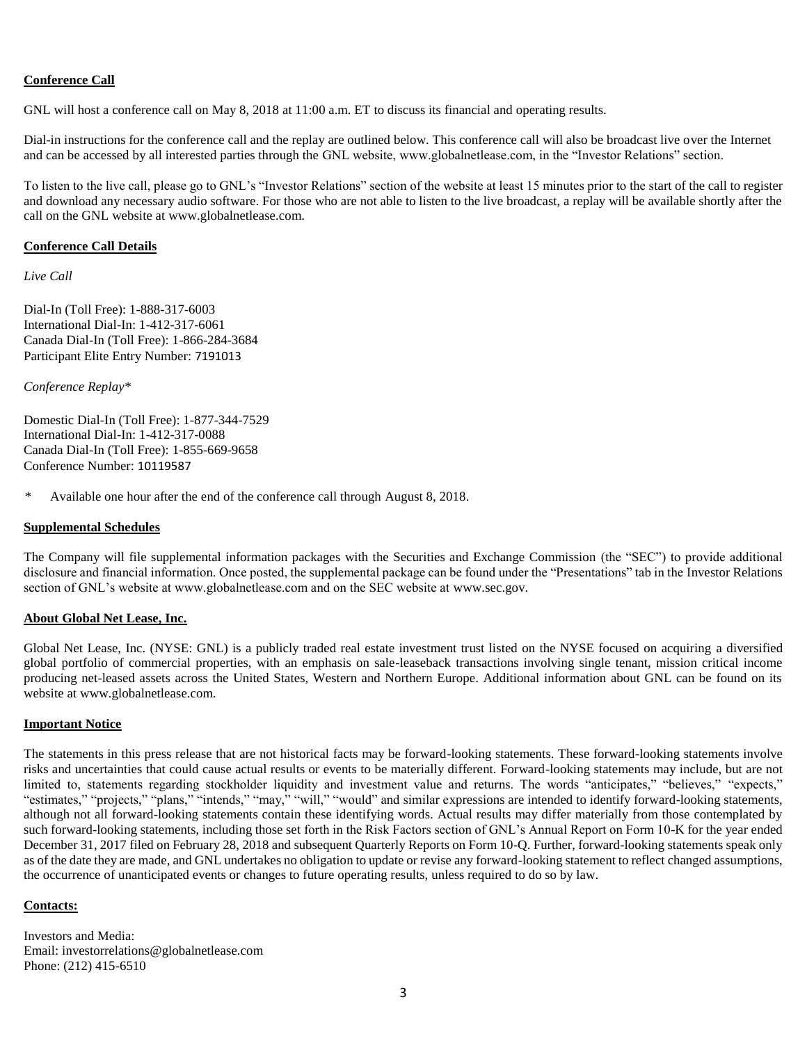## **Conference Call**

GNL will host a conference call on May 8, 2018 at 11:00 a.m. ET to discuss its financial and operating results.

Dial-in instructions for the conference call and the replay are outlined below. This conference call will also be broadcast live over the Internet and can be accessed by all interested parties through the GNL website, www.globalnetlease.com, in the "Investor Relations" section.

To listen to the live call, please go to GNL's "Investor Relations" section of the website at least 15 minutes prior to the start of the call to register and download any necessary audio software. For those who are not able to listen to the live broadcast, a replay will be available shortly after the call on the GNL website at www.globalnetlease.com.

### **Conference Call Details**

*Live Call*

Dial-In (Toll Free): 1-888-317-6003 International Dial-In: 1-412-317-6061 Canada Dial-In (Toll Free): 1-866-284-3684 Participant Elite Entry Number: 7191013

*Conference Replay\**

Domestic Dial-In (Toll Free): 1-877-344-7529 International Dial-In: 1-412-317-0088 Canada Dial-In (Toll Free): 1-855-669-9658 Conference Number: 10119587

Available one hour after the end of the conference call through August 8, 2018.

### **Supplemental Schedules**

The Company will file supplemental information packages with the Securities and Exchange Commission (the "SEC") to provide additional disclosure and financial information. Once posted, the supplemental package can be found under the "Presentations" tab in the Investor Relations section of GNL's website at www.globalnetlease.com and on the SEC website at www.sec.gov.

### **About Global Net Lease, Inc.**

Global Net Lease, Inc. (NYSE: GNL) is a publicly traded real estate investment trust listed on the NYSE focused on acquiring a diversified global portfolio of commercial properties, with an emphasis on sale-leaseback transactions involving single tenant, mission critical income producing net-leased assets across the United States, Western and Northern Europe. Additional information about GNL can be found on its website at www.globalnetlease.com.

## **Important Notice**

The statements in this press release that are not historical facts may be forward-looking statements. These forward-looking statements involve risks and uncertainties that could cause actual results or events to be materially different. Forward-looking statements may include, but are not limited to, statements regarding stockholder liquidity and investment value and returns. The words "anticipates," "believes," "expects," "estimates," "projects," "plans," "intends," "may," "will," "would" and similar expressions are intended to identify forward-looking statements, although not all forward-looking statements contain these identifying words. Actual results may differ materially from those contemplated by such forward-looking statements, including those set forth in the Risk Factors section of GNL's Annual Report on Form 10-K for the year ended December 31, 2017 filed on February 28, 2018 and subsequent Quarterly Reports on Form 10-Q. Further, forward-looking statements speak only as of the date they are made, and GNL undertakes no obligation to update or revise any forward-looking statement to reflect changed assumptions, the occurrence of unanticipated events or changes to future operating results, unless required to do so by law.

### **Contacts:**

Investors and Media: Email: investorrelations@globalnetlease.com Phone: (212) 415-6510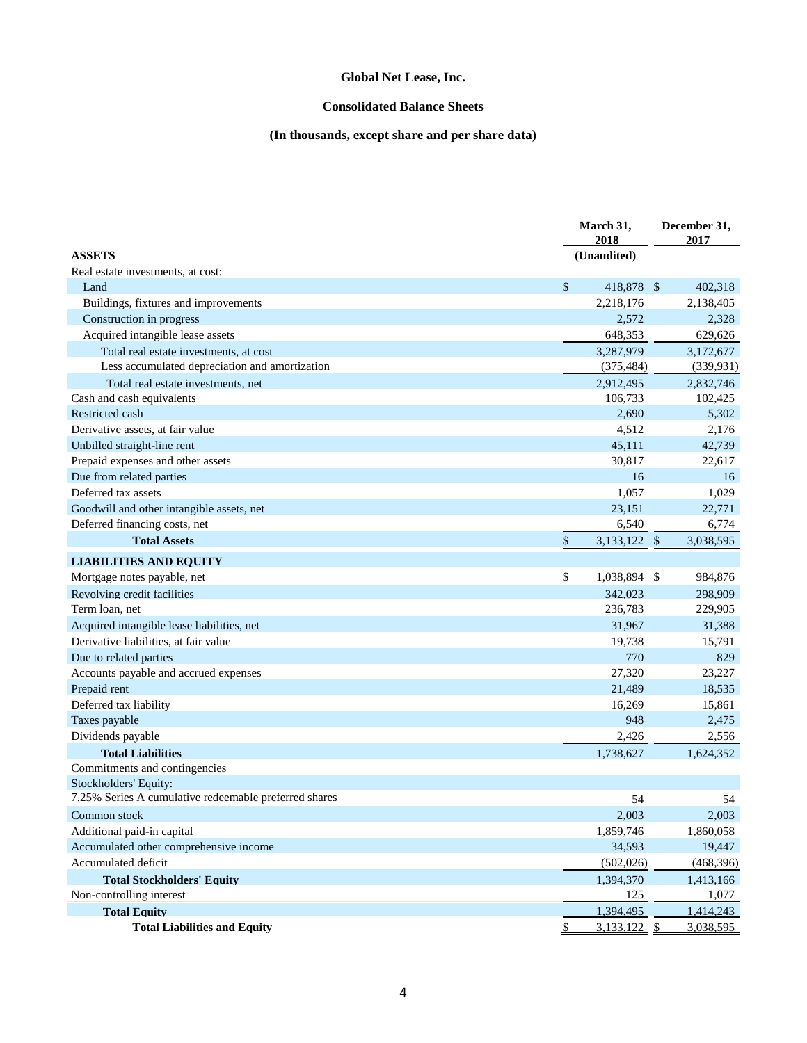## **Consolidated Balance Sheets**

# **(In thousands, except share and per share data)**

|                                                       | March 31,<br>2018    | December 31,<br>2017 |  |
|-------------------------------------------------------|----------------------|----------------------|--|
| <b>ASSETS</b>                                         | (Unaudited)          |                      |  |
| Real estate investments, at cost:                     |                      |                      |  |
| Land                                                  | \$<br>418,878 \$     | 402,318              |  |
| Buildings, fixtures and improvements                  | 2,218,176            | 2,138,405            |  |
| Construction in progress                              | 2,572                | 2,328                |  |
| Acquired intangible lease assets                      | 648,353              | 629,626              |  |
| Total real estate investments, at cost                | 3,287,979            | 3,172,677            |  |
| Less accumulated depreciation and amortization        | (375, 484)           | (339, 931)           |  |
| Total real estate investments, net                    | 2,912,495            | 2,832,746            |  |
| Cash and cash equivalents                             | 106,733              | 102,425              |  |
| Restricted cash                                       | 2,690                | 5,302                |  |
| Derivative assets, at fair value                      | 4,512                | 2,176                |  |
| Unbilled straight-line rent                           | 45,111               | 42,739               |  |
| Prepaid expenses and other assets                     | 30,817               | 22,617               |  |
| Due from related parties                              | 16                   | 16                   |  |
| Deferred tax assets                                   | 1,057                | 1,029                |  |
| Goodwill and other intangible assets, net             | 23,151               | 22,771               |  |
| Deferred financing costs, net                         | 6,540                | 6,774                |  |
| <b>Total Assets</b>                                   | \$<br>3,133,122 \$   | 3,038,595            |  |
| <b>LIABILITIES AND EQUITY</b>                         |                      |                      |  |
| Mortgage notes payable, net                           | \$<br>1,038,894 \$   | 984,876              |  |
| Revolving credit facilities                           | 342,023              | 298,909              |  |
| Term loan, net                                        | 236,783              | 229,905              |  |
| Acquired intangible lease liabilities, net            | 31,967               | 31,388               |  |
| Derivative liabilities, at fair value                 | 19,738               | 15,791               |  |
| Due to related parties                                | 770                  | 829                  |  |
| Accounts payable and accrued expenses                 | 27,320               | 23,227               |  |
| Prepaid rent                                          | 21,489               | 18,535               |  |
| Deferred tax liability                                | 16,269               | 15,861               |  |
| Taxes payable                                         | 948                  | 2,475                |  |
| Dividends payable                                     | 2,426                | 2,556                |  |
| <b>Total Liabilities</b>                              | 1,738,627            | 1,624,352            |  |
| Commitments and contingencies                         |                      |                      |  |
| Stockholders' Equity:                                 |                      |                      |  |
| 7.25% Series A cumulative redeemable preferred shares | 54                   | 54                   |  |
| Common stock                                          | 2,003                | 2,003                |  |
| Additional paid-in capital                            | 1,859,746            | 1,860,058            |  |
| Accumulated other comprehensive income                | 34,593               | 19,447               |  |
| Accumulated deficit                                   | (502, 026)           | (468, 396)           |  |
| <b>Total Stockholders' Equity</b>                     | 1,394,370            | 1,413,166            |  |
| Non-controlling interest                              | 125                  | 1,077                |  |
| <b>Total Equity</b>                                   | 1,394,495            | 1,414,243            |  |
| <b>Total Liabilities and Equity</b>                   | \$<br>$3,133,122$ \$ | 3,038,595            |  |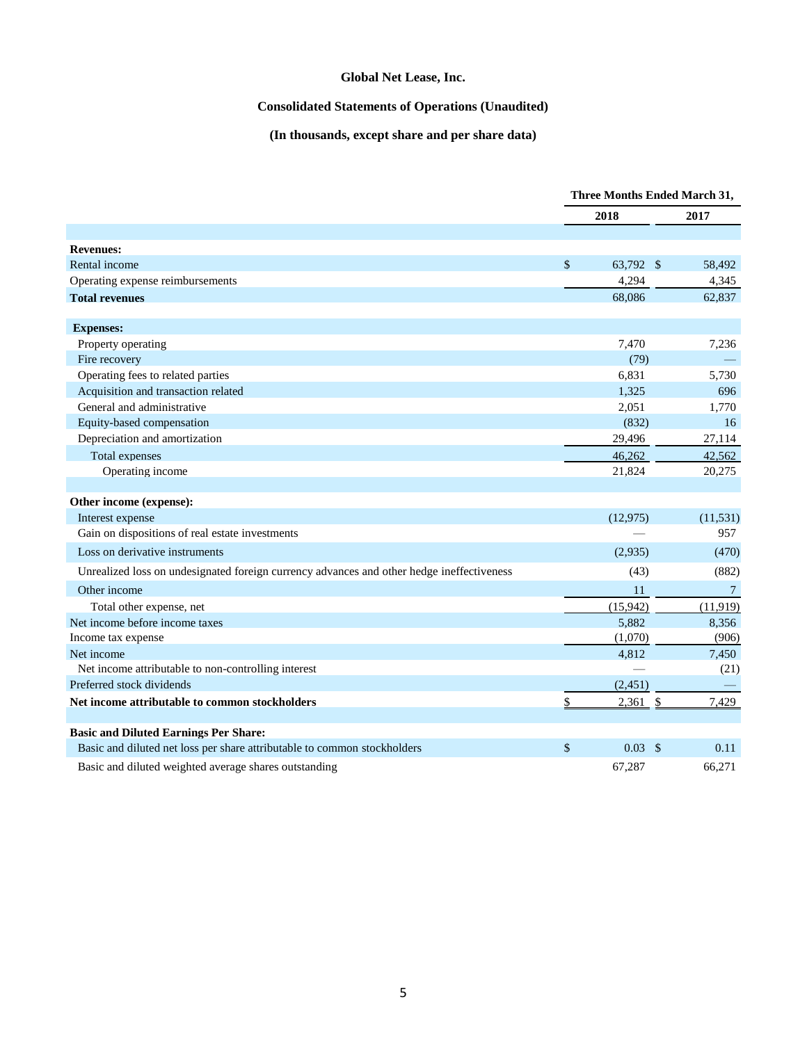## **Consolidated Statements of Operations (Unaudited)**

# **(In thousands, except share and per share data)**

|                                                                                           |      | <b>Three Months Ended March 31,</b> |                       |  |
|-------------------------------------------------------------------------------------------|------|-------------------------------------|-----------------------|--|
|                                                                                           |      | 2018                                | 2017                  |  |
|                                                                                           |      |                                     |                       |  |
| <b>Revenues:</b>                                                                          |      |                                     |                       |  |
| Rental income                                                                             | \$   | 63,792 \$                           | 58,492                |  |
| Operating expense reimbursements                                                          |      | 4,294                               | 4,345                 |  |
| <b>Total revenues</b>                                                                     |      | 68.086                              | 62,837                |  |
|                                                                                           |      |                                     |                       |  |
| <b>Expenses:</b>                                                                          |      |                                     |                       |  |
| Property operating                                                                        |      | 7,470                               | 7,236                 |  |
| Fire recovery                                                                             |      | (79)                                |                       |  |
| Operating fees to related parties<br>Acquisition and transaction related                  |      | 6,831                               | 5,730<br>696          |  |
| General and administrative                                                                |      | 1,325<br>2,051                      | 1,770                 |  |
| Equity-based compensation                                                                 |      | (832)                               | 16                    |  |
| Depreciation and amortization                                                             |      | 29,496                              | 27,114                |  |
| Total expenses                                                                            |      | 46,262                              | 42,562                |  |
| Operating income                                                                          |      | 21,824                              | 20,275                |  |
|                                                                                           |      |                                     |                       |  |
| Other income (expense):                                                                   |      |                                     |                       |  |
| Interest expense                                                                          |      | (12, 975)                           | (11, 531)             |  |
| Gain on dispositions of real estate investments                                           |      |                                     | 957                   |  |
| Loss on derivative instruments                                                            |      | (2,935)                             | (470)                 |  |
| Unrealized loss on undesignated foreign currency advances and other hedge ineffectiveness |      | (43)                                | (882)                 |  |
| Other income                                                                              |      | 11                                  | $\tau$                |  |
| Total other expense, net                                                                  |      | (15,942)                            | (11, 919)             |  |
| Net income before income taxes                                                            |      | 5,882                               | 8,356                 |  |
| Income tax expense                                                                        |      | (1,070)                             | (906)                 |  |
| Net income                                                                                |      | 4,812                               | 7,450                 |  |
| Net income attributable to non-controlling interest                                       |      |                                     | (21)                  |  |
| Preferred stock dividends                                                                 |      | (2, 451)                            |                       |  |
| Net income attributable to common stockholders                                            | \$   | $2,361$ \$                          | 7,429                 |  |
|                                                                                           |      |                                     |                       |  |
| <b>Basic and Diluted Earnings Per Share:</b>                                              |      |                                     |                       |  |
| Basic and diluted net loss per share attributable to common stockholders                  | $\$$ | 0.03                                | $\mathcal{S}$<br>0.11 |  |
| Basic and diluted weighted average shares outstanding                                     |      | 67,287                              | 66,271                |  |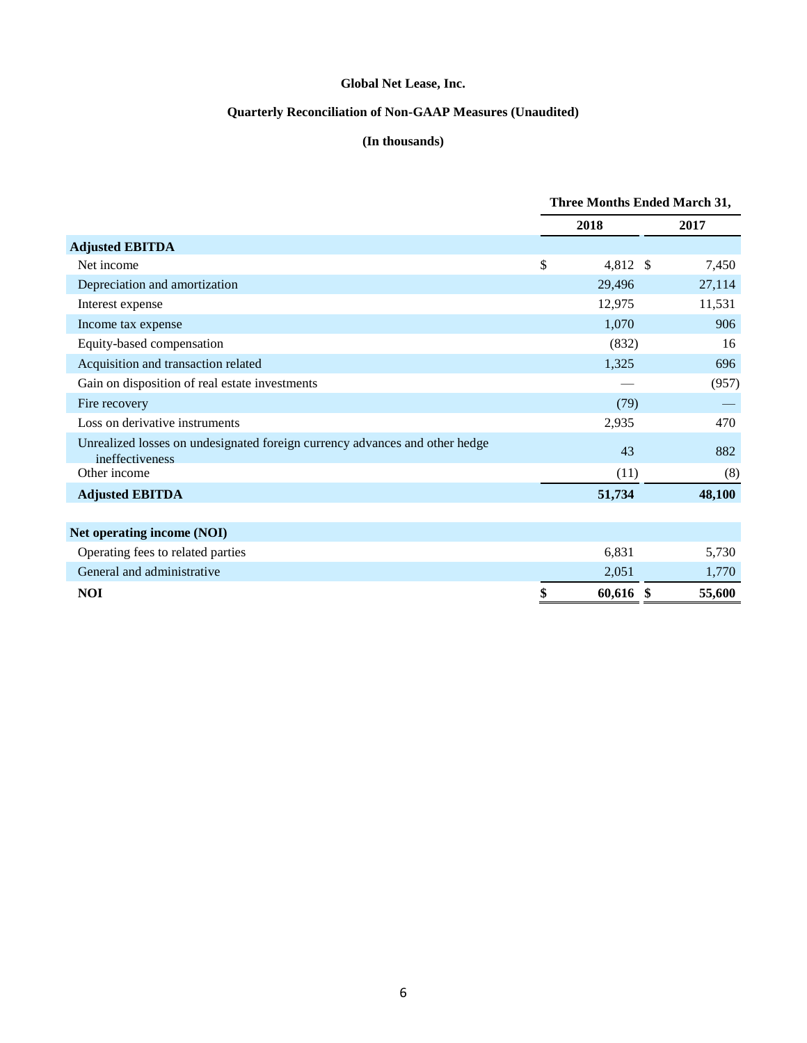# **Quarterly Reconciliation of Non-GAAP Measures (Unaudited)**

## **(In thousands)**

|                                                                                                | <b>Three Months Ended March 31,</b> |                        |        |  |
|------------------------------------------------------------------------------------------------|-------------------------------------|------------------------|--------|--|
|                                                                                                |                                     | 2018                   | 2017   |  |
| <b>Adjusted EBITDA</b>                                                                         |                                     |                        |        |  |
| Net income                                                                                     | \$                                  | 4,812<br><sup>\$</sup> | 7,450  |  |
| Depreciation and amortization                                                                  |                                     | 29,496                 | 27,114 |  |
| Interest expense                                                                               |                                     | 12,975                 | 11,531 |  |
| Income tax expense                                                                             |                                     | 1,070                  | 906    |  |
| Equity-based compensation                                                                      |                                     | (832)                  | 16     |  |
| Acquisition and transaction related                                                            |                                     | 1,325                  | 696    |  |
| Gain on disposition of real estate investments                                                 |                                     |                        | (957)  |  |
| Fire recovery                                                                                  |                                     | (79)                   |        |  |
| Loss on derivative instruments                                                                 |                                     | 2,935                  | 470    |  |
| Unrealized losses on undesignated foreign currency advances and other hedge<br>ineffectiveness |                                     | 43                     | 882    |  |
| Other income                                                                                   |                                     | (11)                   | (8)    |  |
| <b>Adjusted EBITDA</b>                                                                         |                                     | 51,734                 | 48,100 |  |
|                                                                                                |                                     |                        |        |  |
| Net operating income (NOI)                                                                     |                                     |                        |        |  |
| Operating fees to related parties                                                              |                                     | 6,831                  | 5,730  |  |
| General and administrative                                                                     |                                     | 2,051                  | 1,770  |  |
| <b>NOI</b>                                                                                     | \$                                  | 60,616 \$              | 55,600 |  |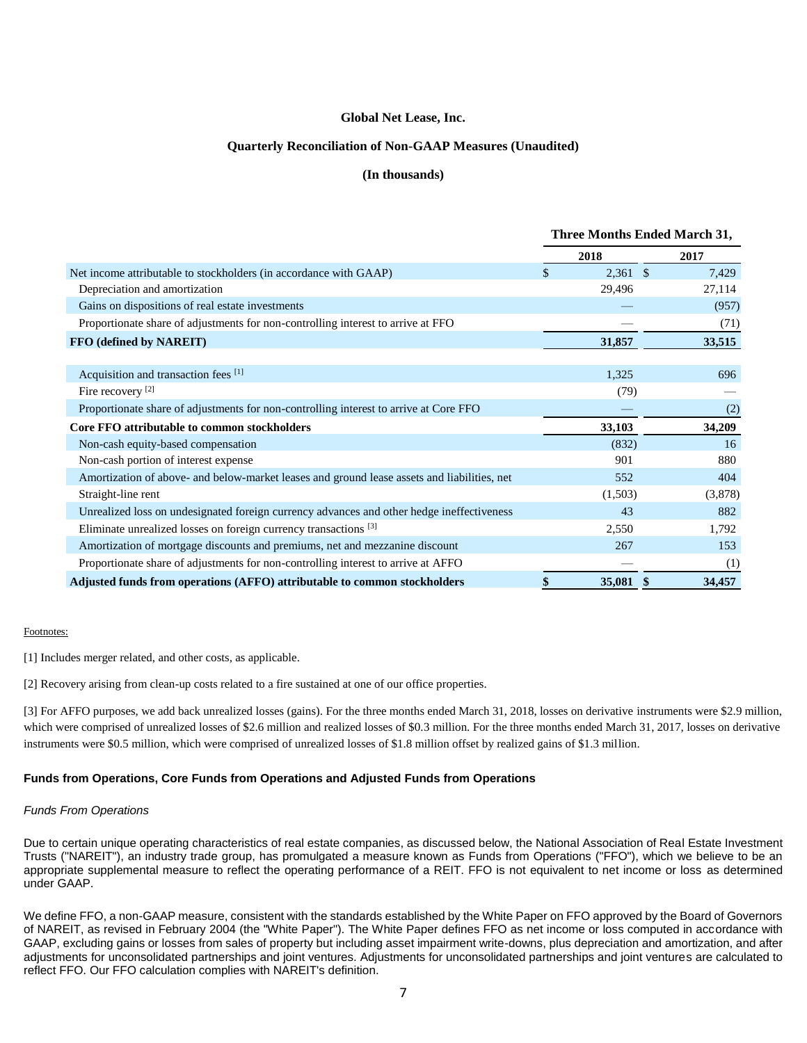#### **Quarterly Reconciliation of Non-GAAP Measures (Unaudited)**

#### **(In thousands)**

|                                                                                             | <b>Three Months Ended March 31,</b> |  |         |  |
|---------------------------------------------------------------------------------------------|-------------------------------------|--|---------|--|
|                                                                                             | 2018                                |  | 2017    |  |
| Net income attributable to stockholders (in accordance with GAAP)                           | \$<br>$2,361$ \$                    |  | 7,429   |  |
| Depreciation and amortization                                                               | 29,496                              |  | 27,114  |  |
| Gains on dispositions of real estate investments                                            |                                     |  | (957)   |  |
| Proportionate share of adjustments for non-controlling interest to arrive at FFO            |                                     |  | (71)    |  |
| FFO (defined by NAREIT)                                                                     | 31,857                              |  | 33,515  |  |
|                                                                                             |                                     |  |         |  |
| Acquisition and transaction fees [1]                                                        | 1,325                               |  | 696     |  |
| Fire recovery <sup>[2]</sup>                                                                | (79)                                |  |         |  |
| Proportionate share of adjustments for non-controlling interest to arrive at Core FFO       |                                     |  | (2)     |  |
| Core FFO attributable to common stockholders                                                | 33,103                              |  | 34,209  |  |
| Non-cash equity-based compensation                                                          | (832)                               |  | 16      |  |
| Non-cash portion of interest expense                                                        | 901                                 |  | 880     |  |
| Amortization of above- and below-market leases and ground lease assets and liabilities, net | 552                                 |  | 404     |  |
| Straight-line rent                                                                          | (1,503)                             |  | (3,878) |  |
| Unrealized loss on undesignated foreign currency advances and other hedge ineffectiveness   | 43                                  |  | 882     |  |
| Eliminate unrealized losses on foreign currency transactions <sup>[3]</sup>                 | 2,550                               |  | 1,792   |  |
| Amortization of mortgage discounts and premiums, net and mezzanine discount                 | 267                                 |  | 153     |  |
| Proportionate share of adjustments for non-controlling interest to arrive at AFFO           |                                     |  | (1)     |  |
| Adjusted funds from operations (AFFO) attributable to common stockholders                   | 35,081                              |  | 34,457  |  |

#### Footnotes:

[1] Includes merger related, and other costs, as applicable.

[2] Recovery arising from clean-up costs related to a fire sustained at one of our office properties.

[3] For AFFO purposes, we add back unrealized losses (gains). For the three months ended March 31, 2018, losses on derivative instruments were \$2.9 million, which were comprised of unrealized losses of \$2.6 million and realized losses of \$0.3 million. For the three months ended March 31, 2017, losses on derivative instruments were \$0.5 million, which were comprised of unrealized losses of \$1.8 million offset by realized gains of \$1.3 million.

#### **Funds from Operations, Core Funds from Operations and Adjusted Funds from Operations**

#### *Funds From Operations*

Due to certain unique operating characteristics of real estate companies, as discussed below, the National Association of Real Estate Investment Trusts ("NAREIT"), an industry trade group, has promulgated a measure known as Funds from Operations ("FFO"), which we believe to be an appropriate supplemental measure to reflect the operating performance of a REIT. FFO is not equivalent to net income or loss as determined under GAAP.

We define FFO, a non-GAAP measure, consistent with the standards established by the White Paper on FFO approved by the Board of Governors of NAREIT, as revised in February 2004 (the "White Paper"). The White Paper defines FFO as net income or loss computed in accordance with GAAP, excluding gains or losses from sales of property but including asset impairment write-downs, plus depreciation and amortization, and after adjustments for unconsolidated partnerships and joint ventures. Adjustments for unconsolidated partnerships and joint ventures are calculated to reflect FFO. Our FFO calculation complies with NAREIT's definition.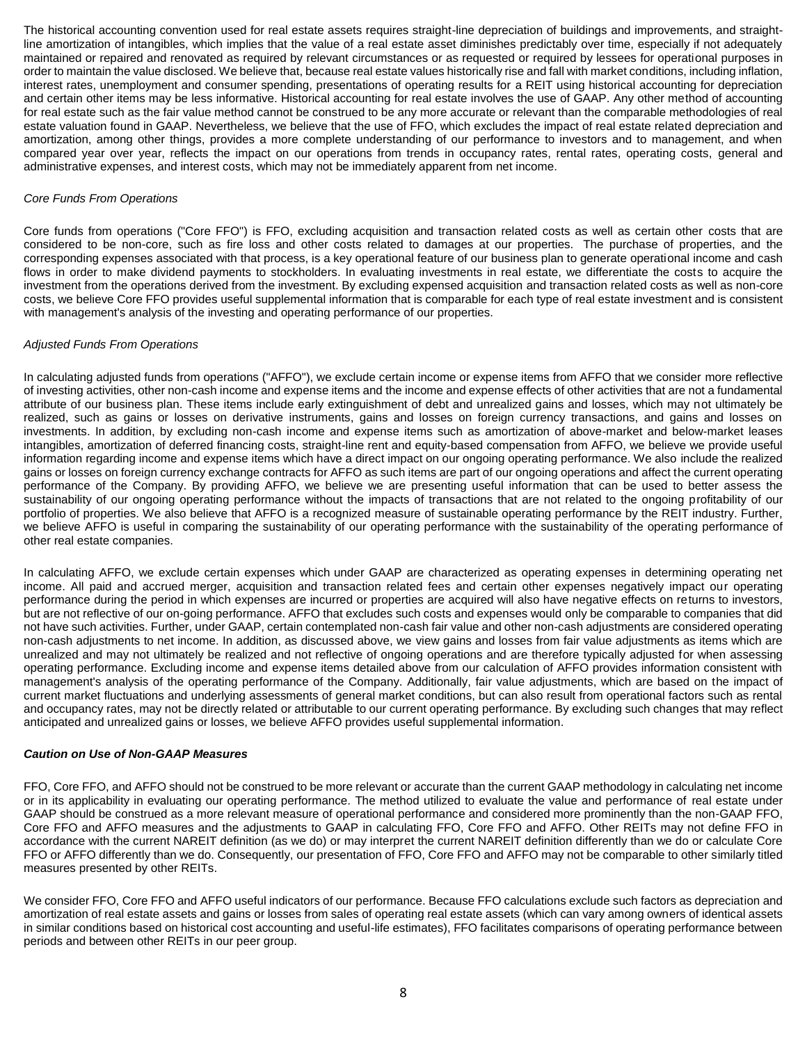The historical accounting convention used for real estate assets requires straight-line depreciation of buildings and improvements, and straightline amortization of intangibles, which implies that the value of a real estate asset diminishes predictably over time, especially if not adequately maintained or repaired and renovated as required by relevant circumstances or as requested or required by lessees for operational purposes in order to maintain the value disclosed. We believe that, because real estate values historically rise and fall with market conditions, including inflation, interest rates, unemployment and consumer spending, presentations of operating results for a REIT using historical accounting for depreciation and certain other items may be less informative. Historical accounting for real estate involves the use of GAAP. Any other method of accounting for real estate such as the fair value method cannot be construed to be any more accurate or relevant than the comparable methodologies of real estate valuation found in GAAP. Nevertheless, we believe that the use of FFO, which excludes the impact of real estate related depreciation and amortization, among other things, provides a more complete understanding of our performance to investors and to management, and when compared year over year, reflects the impact on our operations from trends in occupancy rates, rental rates, operating costs, general and administrative expenses, and interest costs, which may not be immediately apparent from net income.

#### *Core Funds From Operations*

Core funds from operations ("Core FFO") is FFO, excluding acquisition and transaction related costs as well as certain other costs that are considered to be non-core, such as fire loss and other costs related to damages at our properties. The purchase of properties, and the corresponding expenses associated with that process, is a key operational feature of our business plan to generate operational income and cash flows in order to make dividend payments to stockholders. In evaluating investments in real estate, we differentiate the costs to acquire the investment from the operations derived from the investment. By excluding expensed acquisition and transaction related costs as well as non-core costs, we believe Core FFO provides useful supplemental information that is comparable for each type of real estate investment and is consistent with management's analysis of the investing and operating performance of our properties.

#### *Adjusted Funds From Operations*

In calculating adjusted funds from operations ("AFFO"), we exclude certain income or expense items from AFFO that we consider more reflective of investing activities, other non-cash income and expense items and the income and expense effects of other activities that are not a fundamental attribute of our business plan. These items include early extinguishment of debt and unrealized gains and losses, which may not ultimately be realized, such as gains or losses on derivative instruments, gains and losses on foreign currency transactions, and gains and losses on investments. In addition, by excluding non-cash income and expense items such as amortization of above-market and below-market leases intangibles, amortization of deferred financing costs, straight-line rent and equity-based compensation from AFFO, we believe we provide useful information regarding income and expense items which have a direct impact on our ongoing operating performance. We also include the realized gains or losses on foreign currency exchange contracts for AFFO as such items are part of our ongoing operations and affect the current operating performance of the Company. By providing AFFO, we believe we are presenting useful information that can be used to better assess the sustainability of our ongoing operating performance without the impacts of transactions that are not related to the ongoing profitability of our portfolio of properties. We also believe that AFFO is a recognized measure of sustainable operating performance by the REIT industry. Further, we believe AFFO is useful in comparing the sustainability of our operating performance with the sustainability of the operating performance of other real estate companies.

In calculating AFFO, we exclude certain expenses which under GAAP are characterized as operating expenses in determining operating net income. All paid and accrued merger, acquisition and transaction related fees and certain other expenses negatively impact our operating performance during the period in which expenses are incurred or properties are acquired will also have negative effects on returns to investors, but are not reflective of our on-going performance. AFFO that excludes such costs and expenses would only be comparable to companies that did not have such activities. Further, under GAAP, certain contemplated non-cash fair value and other non-cash adjustments are considered operating non-cash adjustments to net income. In addition, as discussed above, we view gains and losses from fair value adjustments as items which are unrealized and may not ultimately be realized and not reflective of ongoing operations and are therefore typically adjusted for when assessing operating performance. Excluding income and expense items detailed above from our calculation of AFFO provides information consistent with management's analysis of the operating performance of the Company. Additionally, fair value adjustments, which are based on the impact of current market fluctuations and underlying assessments of general market conditions, but can also result from operational factors such as rental and occupancy rates, may not be directly related or attributable to our current operating performance. By excluding such changes that may reflect anticipated and unrealized gains or losses, we believe AFFO provides useful supplemental information.

#### *Caution on Use of Non-GAAP Measures*

FFO, Core FFO, and AFFO should not be construed to be more relevant or accurate than the current GAAP methodology in calculating net income or in its applicability in evaluating our operating performance. The method utilized to evaluate the value and performance of real estate under GAAP should be construed as a more relevant measure of operational performance and considered more prominently than the non-GAAP FFO, Core FFO and AFFO measures and the adjustments to GAAP in calculating FFO, Core FFO and AFFO. Other REITs may not define FFO in accordance with the current NAREIT definition (as we do) or may interpret the current NAREIT definition differently than we do or calculate Core FFO or AFFO differently than we do. Consequently, our presentation of FFO, Core FFO and AFFO may not be comparable to other similarly titled measures presented by other REITs.

We consider FFO, Core FFO and AFFO useful indicators of our performance. Because FFO calculations exclude such factors as depreciation and amortization of real estate assets and gains or losses from sales of operating real estate assets (which can vary among owners of identical assets in similar conditions based on historical cost accounting and useful-life estimates), FFO facilitates comparisons of operating performance between periods and between other REITs in our peer group.